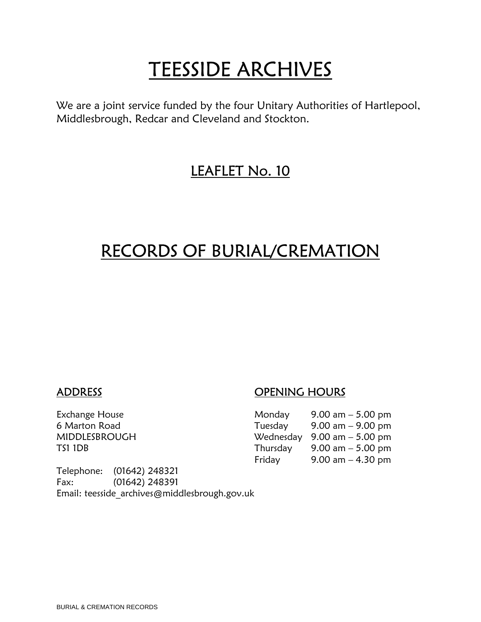# TEESSIDE ARCHIVES<br>We are a joint service funded by the four Unitary Authorities of Hartlepool,

Middlesbrough, Redcar and Cleveland and Stockton.

### LEAFLET No. 10

## RECORDS OF BURIAL/CREMATION

Telephone: (01642) 248321 Fax: (01642) 248391 Email: teesside\_archives@middlesbrough.gov.uk

#### ADDRESS OPENING HOURS

| Exchange House | Monday   | $9.00$ am $-5.00$ pm                          |
|----------------|----------|-----------------------------------------------|
| 6 Marton Road  | Tuesday  | $9.00$ am $-9.00$ pm                          |
| MIDDLESBROUGH  |          | Wednesday $9.00 \text{ am} - 5.00 \text{ pm}$ |
| TS1 1DB        | Thursday | 9.00 am $-$ 5.00 pm                           |
|                | Friday   | 9.00 am $-$ 4.30 pm                           |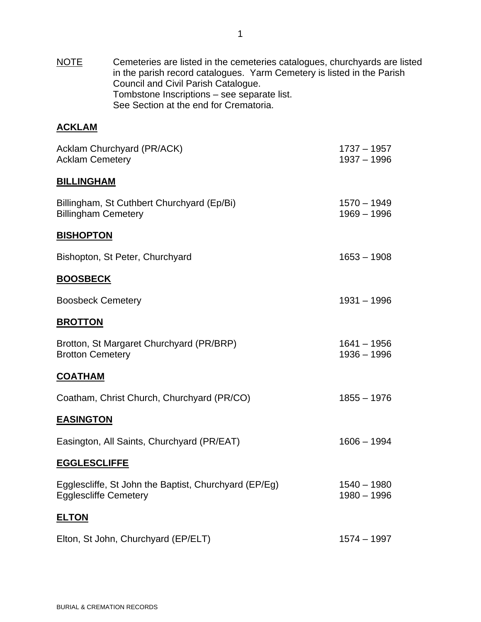NOTE Cemeteries are listed in the cemeteries catalogues, churchyards are listed in the parish record catalogues. Yarm Cemetery is listed in the Parish Council and Civil Parish Catalogue. Tombstone Inscriptions – see separate list. See Section at the end for Crematoria.

#### **ACKLAM**

| Acklam Churchyard (PR/ACK)<br><b>Acklam Cemetery</b>                                  | $1737 - 1957$<br>$1937 - 1996$ |
|---------------------------------------------------------------------------------------|--------------------------------|
| <b>BILLINGHAM</b>                                                                     |                                |
| Billingham, St Cuthbert Churchyard (Ep/Bi)<br><b>Billingham Cemetery</b>              | $1570 - 1949$<br>$1969 - 1996$ |
| <b>BISHOPTON</b>                                                                      |                                |
| Bishopton, St Peter, Churchyard                                                       | $1653 - 1908$                  |
| <b>BOOSBECK</b>                                                                       |                                |
| <b>Boosbeck Cemetery</b>                                                              | $1931 - 1996$                  |
| <b>BROTTON</b>                                                                        |                                |
| Brotton, St Margaret Churchyard (PR/BRP)<br><b>Brotton Cemetery</b>                   | $1641 - 1956$<br>$1936 - 1996$ |
| <b>COATHAM</b>                                                                        |                                |
| Coatham, Christ Church, Churchyard (PR/CO)                                            | $1855 - 1976$                  |
| <b>EASINGTON</b>                                                                      |                                |
| Easington, All Saints, Churchyard (PR/EAT)                                            | $1606 - 1994$                  |
| <b>EGGLESCLIFFE</b>                                                                   |                                |
| Egglescliffe, St John the Baptist, Churchyard (EP/Eg)<br><b>Egglescliffe Cemetery</b> | $1540 - 1980$<br>$1980 - 1996$ |
| <b>ELTON</b>                                                                          |                                |
| Elton, St John, Churchyard (EP/ELT)                                                   | $1574 - 1997$                  |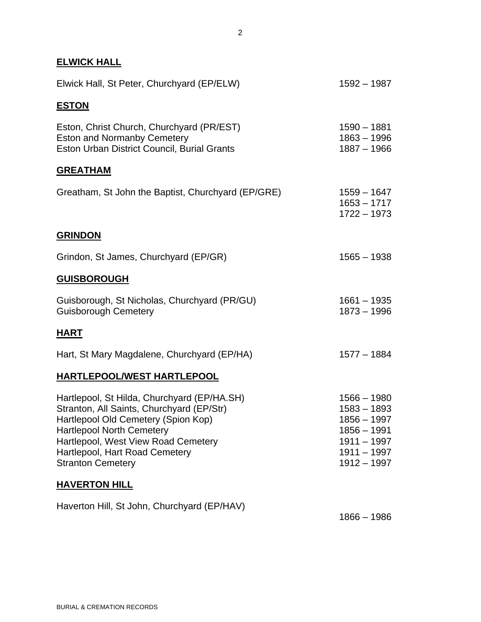#### **ELWICK HALL**

| Elwick Hall, St Peter, Churchyard (EP/ELW)                                                                                                                                                                                                                               | $1592 - 1987$                                                                                                   |
|--------------------------------------------------------------------------------------------------------------------------------------------------------------------------------------------------------------------------------------------------------------------------|-----------------------------------------------------------------------------------------------------------------|
| <b>ESTON</b>                                                                                                                                                                                                                                                             |                                                                                                                 |
| Eston, Christ Church, Churchyard (PR/EST)<br><b>Eston and Normanby Cemetery</b><br>Eston Urban District Council, Burial Grants                                                                                                                                           | $1590 - 1881$<br>$1863 - 1996$<br>$1887 - 1966$                                                                 |
| <b>GREATHAM</b>                                                                                                                                                                                                                                                          |                                                                                                                 |
| Greatham, St John the Baptist, Churchyard (EP/GRE)                                                                                                                                                                                                                       | $1559 - 1647$<br>$1653 - 1717$<br>$1722 - 1973$                                                                 |
| <b>GRINDON</b>                                                                                                                                                                                                                                                           |                                                                                                                 |
| Grindon, St James, Churchyard (EP/GR)                                                                                                                                                                                                                                    | $1565 - 1938$                                                                                                   |
| <b>GUISBOROUGH</b>                                                                                                                                                                                                                                                       |                                                                                                                 |
| Guisborough, St Nicholas, Churchyard (PR/GU)<br><b>Guisborough Cemetery</b>                                                                                                                                                                                              | $1661 - 1935$<br>$1873 - 1996$                                                                                  |
| <b>HART</b>                                                                                                                                                                                                                                                              |                                                                                                                 |
| Hart, St Mary Magdalene, Churchyard (EP/HA)                                                                                                                                                                                                                              | $1577 - 1884$                                                                                                   |
| <b>HARTLEPOOL/WEST HARTLEPOOL</b>                                                                                                                                                                                                                                        |                                                                                                                 |
| Hartlepool, St Hilda, Churchyard (EP/HA.SH)<br>Stranton, All Saints, Churchyard (EP/Str)<br>Hartlepool Old Cemetery (Spion Kop)<br><b>Hartlepool North Cemetery</b><br>Hartlepool, West View Road Cemetery<br>Hartlepool, Hart Road Cemetery<br><b>Stranton Cemetery</b> | $1566 - 1980$<br>$1583 - 1893$<br>$1856 - 1997$<br>1856 - 1991<br>1911 - 1997<br>$1911 - 1997$<br>$1912 - 1997$ |
| <b>HAVERTON HILL</b>                                                                                                                                                                                                                                                     |                                                                                                                 |
| Haverton Hill, St John, Churchyard (EP/HAV)                                                                                                                                                                                                                              |                                                                                                                 |

1866 – 1986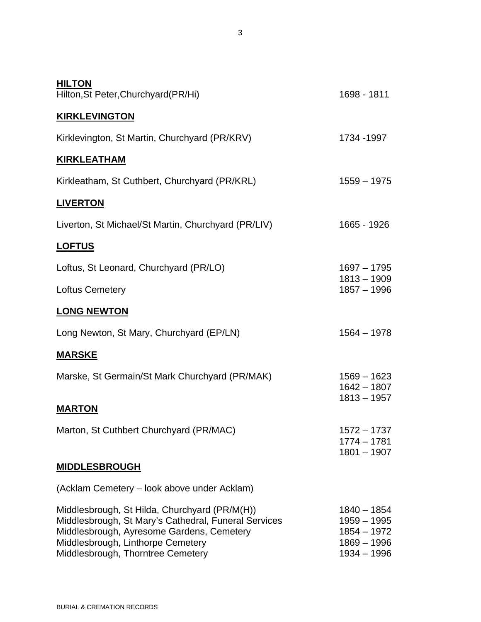| <b>HILTON</b><br>Hilton, St Peter, Churchyard (PR/Hi)                                                                                                                                                                        | 1698 - 1811                                                                       |
|------------------------------------------------------------------------------------------------------------------------------------------------------------------------------------------------------------------------------|-----------------------------------------------------------------------------------|
| <b>KIRKLEVINGTON</b>                                                                                                                                                                                                         |                                                                                   |
| Kirklevington, St Martin, Churchyard (PR/KRV)                                                                                                                                                                                | 1734 - 1997                                                                       |
| <b>KIRKLEATHAM</b>                                                                                                                                                                                                           |                                                                                   |
| Kirkleatham, St Cuthbert, Churchyard (PR/KRL)                                                                                                                                                                                | $1559 - 1975$                                                                     |
| <b>LIVERTON</b>                                                                                                                                                                                                              |                                                                                   |
| Liverton, St Michael/St Martin, Churchyard (PR/LIV)                                                                                                                                                                          | 1665 - 1926                                                                       |
| <u>LOFTUS</u>                                                                                                                                                                                                                |                                                                                   |
| Loftus, St Leonard, Churchyard (PR/LO)                                                                                                                                                                                       | $1697 - 1795$                                                                     |
| <b>Loftus Cemetery</b>                                                                                                                                                                                                       | $1813 - 1909$<br>$1857 - 1996$                                                    |
| <b>LONG NEWTON</b>                                                                                                                                                                                                           |                                                                                   |
| Long Newton, St Mary, Churchyard (EP/LN)                                                                                                                                                                                     | $1564 - 1978$                                                                     |
| <u>MARSKE</u>                                                                                                                                                                                                                |                                                                                   |
| Marske, St Germain/St Mark Churchyard (PR/MAK)                                                                                                                                                                               | $1569 - 1623$<br>$1642 - 1807$<br>$1813 - 1957$                                   |
| <b>MARTON</b>                                                                                                                                                                                                                |                                                                                   |
| Marton, St Cuthbert Churchyard (PR/MAC)                                                                                                                                                                                      | $1572 - 1737$<br>$1774 - 1781$<br>$1801 - 1907$                                   |
| <b>MIDDLESBROUGH</b>                                                                                                                                                                                                         |                                                                                   |
| (Acklam Cemetery – look above under Acklam)                                                                                                                                                                                  |                                                                                   |
| Middlesbrough, St Hilda, Churchyard (PR/M(H))<br>Middlesbrough, St Mary's Cathedral, Funeral Services<br>Middlesbrough, Ayresome Gardens, Cemetery<br>Middlesbrough, Linthorpe Cemetery<br>Middlesbrough, Thorntree Cemetery | $1840 - 1854$<br>$1959 - 1995$<br>$1854 - 1972$<br>$1869 - 1996$<br>$1934 - 1996$ |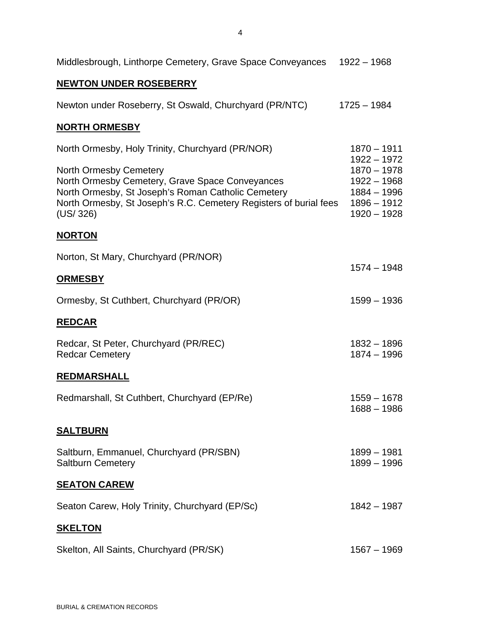| Middlesbrough, Linthorpe Cemetery, Grave Space Conveyances                                                                                                                                                              | $1922 - 1968$                                                                     |
|-------------------------------------------------------------------------------------------------------------------------------------------------------------------------------------------------------------------------|-----------------------------------------------------------------------------------|
| <b>NEWTON UNDER ROSEBERRY</b>                                                                                                                                                                                           |                                                                                   |
| Newton under Roseberry, St Oswald, Churchyard (PR/NTC)                                                                                                                                                                  | $1725 - 1984$                                                                     |
| <b>NORTH ORMESBY</b>                                                                                                                                                                                                    |                                                                                   |
| North Ormesby, Holy Trinity, Churchyard (PR/NOR)                                                                                                                                                                        | $1870 - 1911$<br>$1922 - 1972$                                                    |
| <b>North Ormesby Cemetery</b><br>North Ormesby Cemetery, Grave Space Conveyances<br>North Ormesby, St Joseph's Roman Catholic Cemetery<br>North Ormesby, St Joseph's R.C. Cemetery Registers of burial fees<br>(US/326) | $1870 - 1978$<br>$1922 - 1968$<br>$1884 - 1996$<br>$1896 - 1912$<br>$1920 - 1928$ |
| <b>NORTON</b>                                                                                                                                                                                                           |                                                                                   |
| Norton, St Mary, Churchyard (PR/NOR)                                                                                                                                                                                    | $1574 - 1948$                                                                     |
| <b>ORMESBY</b>                                                                                                                                                                                                          |                                                                                   |
| Ormesby, St Cuthbert, Churchyard (PR/OR)                                                                                                                                                                                | $1599 - 1936$                                                                     |
| <b>REDCAR</b>                                                                                                                                                                                                           |                                                                                   |
| Redcar, St Peter, Churchyard (PR/REC)<br><b>Redcar Cemetery</b>                                                                                                                                                         | $1832 - 1896$<br>$1874 - 1996$                                                    |
| <b>REDMARSHALL</b>                                                                                                                                                                                                      |                                                                                   |
| Redmarshall, St Cuthbert, Churchyard (EP/Re)                                                                                                                                                                            | $1559 - 1678$<br>$1688 - 1986$                                                    |
| <u>SALTBURN</u>                                                                                                                                                                                                         |                                                                                   |
| Saltburn, Emmanuel, Churchyard (PR/SBN)<br><b>Saltburn Cemetery</b>                                                                                                                                                     | $1899 - 1981$<br>1899 - 1996                                                      |
| <b>SEATON CAREW</b>                                                                                                                                                                                                     |                                                                                   |
| Seaton Carew, Holy Trinity, Churchyard (EP/Sc)                                                                                                                                                                          | $1842 - 1987$                                                                     |
| <b>SKELTON</b>                                                                                                                                                                                                          |                                                                                   |
| Skelton, All Saints, Churchyard (PR/SK)                                                                                                                                                                                 | $1567 - 1969$                                                                     |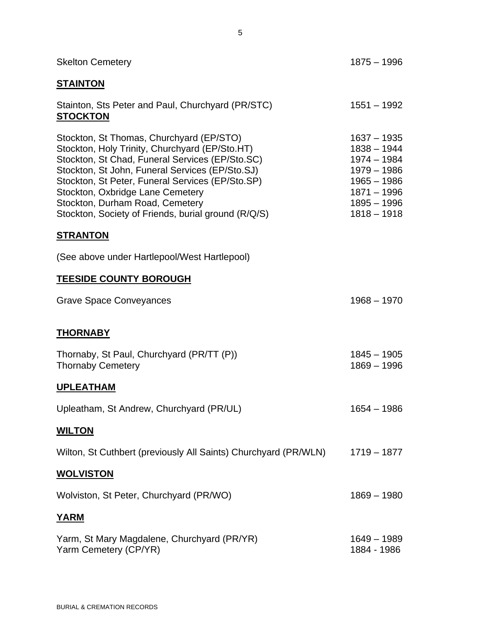| <b>Skelton Cemetery</b>                                                                                                                                                                                                                                                                                                                                                            | $1875 - 1996$                                                                                                                        |  |
|------------------------------------------------------------------------------------------------------------------------------------------------------------------------------------------------------------------------------------------------------------------------------------------------------------------------------------------------------------------------------------|--------------------------------------------------------------------------------------------------------------------------------------|--|
| <u>STAINTON</u>                                                                                                                                                                                                                                                                                                                                                                    |                                                                                                                                      |  |
| Stainton, Sts Peter and Paul, Churchyard (PR/STC)<br><b>STOCKTON</b>                                                                                                                                                                                                                                                                                                               | $1551 - 1992$                                                                                                                        |  |
| Stockton, St Thomas, Churchyard (EP/STO)<br>Stockton, Holy Trinity, Churchyard (EP/Sto.HT)<br>Stockton, St Chad, Funeral Services (EP/Sto.SC)<br>Stockton, St John, Funeral Services (EP/Sto.SJ)<br>Stockton, St Peter, Funeral Services (EP/Sto.SP)<br>Stockton, Oxbridge Lane Cemetery<br>Stockton, Durham Road, Cemetery<br>Stockton, Society of Friends, burial ground (R/Q/S) | $1637 - 1935$<br>$1838 - 1944$<br>$1974 - 1984$<br>$1979 - 1986$<br>$1965 - 1986$<br>$1871 - 1996$<br>$1895 - 1996$<br>$1818 - 1918$ |  |
| <u>STRANTON</u>                                                                                                                                                                                                                                                                                                                                                                    |                                                                                                                                      |  |
| (See above under Hartlepool/West Hartlepool)                                                                                                                                                                                                                                                                                                                                       |                                                                                                                                      |  |
| <b>TEESIDE COUNTY BOROUGH</b>                                                                                                                                                                                                                                                                                                                                                      |                                                                                                                                      |  |
| <b>Grave Space Conveyances</b>                                                                                                                                                                                                                                                                                                                                                     | $1968 - 1970$                                                                                                                        |  |
| <b>THORNABY</b>                                                                                                                                                                                                                                                                                                                                                                    |                                                                                                                                      |  |
| Thornaby, St Paul, Churchyard (PR/TT (P))<br><b>Thornaby Cemetery</b>                                                                                                                                                                                                                                                                                                              | $1845 - 1905$<br>$1869 - 1996$                                                                                                       |  |
| <b>UPLEATHAM</b>                                                                                                                                                                                                                                                                                                                                                                   |                                                                                                                                      |  |
| Upleatham, St Andrew, Churchyard (PR/UL)                                                                                                                                                                                                                                                                                                                                           | $1654 - 1986$                                                                                                                        |  |
| <b>WILTON</b>                                                                                                                                                                                                                                                                                                                                                                      |                                                                                                                                      |  |
| Wilton, St Cuthbert (previously All Saints) Churchyard (PR/WLN)                                                                                                                                                                                                                                                                                                                    | $1719 - 1877$                                                                                                                        |  |
| <b>WOLVISTON</b>                                                                                                                                                                                                                                                                                                                                                                   |                                                                                                                                      |  |
| Wolviston, St Peter, Churchyard (PR/WO)                                                                                                                                                                                                                                                                                                                                            | $1869 - 1980$                                                                                                                        |  |
| <b>YARM</b>                                                                                                                                                                                                                                                                                                                                                                        |                                                                                                                                      |  |
| Yarm, St Mary Magdalene, Churchyard (PR/YR)<br>Yarm Cemetery (CP/YR)                                                                                                                                                                                                                                                                                                               | 1649 - 1989<br>1884 - 1986                                                                                                           |  |